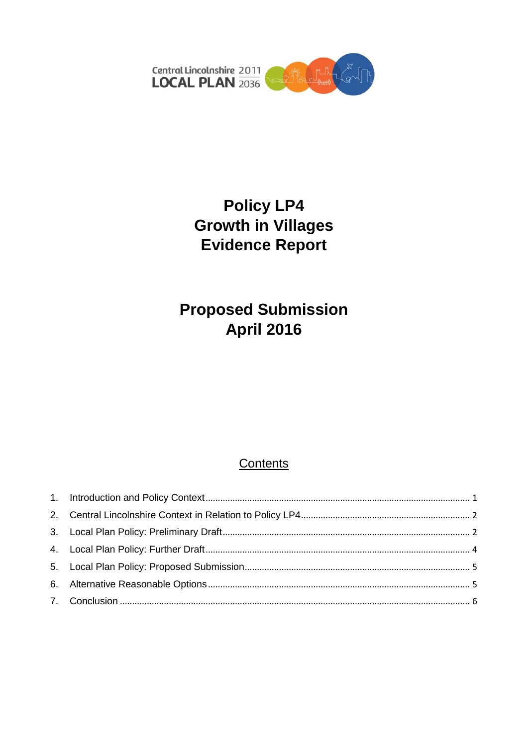

# **Policy LP4 Growth in Villages Evidence Report**

# **Proposed Submission April 2016**

### Contents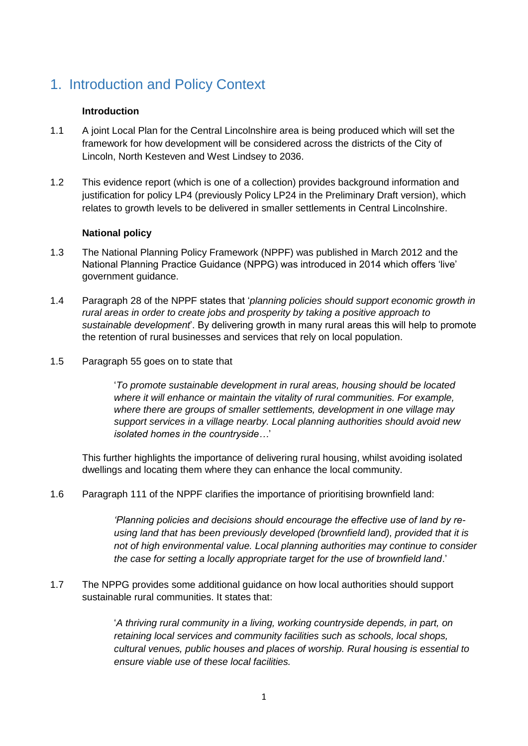## <span id="page-1-0"></span>1. Introduction and Policy Context

#### **Introduction**

- 1.1 A joint Local Plan for the Central Lincolnshire area is being produced which will set the framework for how development will be considered across the districts of the City of Lincoln, North Kesteven and West Lindsey to 2036.
- 1.2 This evidence report (which is one of a collection) provides background information and justification for policy LP4 (previously Policy LP24 in the Preliminary Draft version), which relates to growth levels to be delivered in smaller settlements in Central Lincolnshire.

#### **National policy**

- 1.3 The National Planning Policy Framework (NPPF) was published in March 2012 and the National Planning Practice Guidance (NPPG) was introduced in 2014 which offers 'live' government guidance.
- 1.4 Paragraph 28 of the NPPF states that '*planning policies should support economic growth in rural areas in order to create jobs and prosperity by taking a positive approach to sustainable development*'. By delivering growth in many rural areas this will help to promote the retention of rural businesses and services that rely on local population.
- 1.5 Paragraph 55 goes on to state that

'*To promote sustainable development in rural areas, housing should be located where it will enhance or maintain the vitality of rural communities. For example, where there are groups of smaller settlements, development in one village may support services in a village nearby. Local planning authorities should avoid new isolated homes in the countryside…*'

This further highlights the importance of delivering rural housing, whilst avoiding isolated dwellings and locating them where they can enhance the local community.

1.6 Paragraph 111 of the NPPF clarifies the importance of prioritising brownfield land:

*'Planning policies and decisions should encourage the effective use of land by reusing land that has been previously developed (brownfield land), provided that it is not of high environmental value. Local planning authorities may continue to consider the case for setting a locally appropriate target for the use of brownfield land*.'

1.7 The NPPG provides some additional guidance on how local authorities should support sustainable rural communities. It states that:

> '*A thriving rural community in a living, working countryside depends, in part, on retaining local services and community facilities such as schools, local shops, cultural venues, public houses and places of worship. Rural housing is essential to ensure viable use of these local facilities.*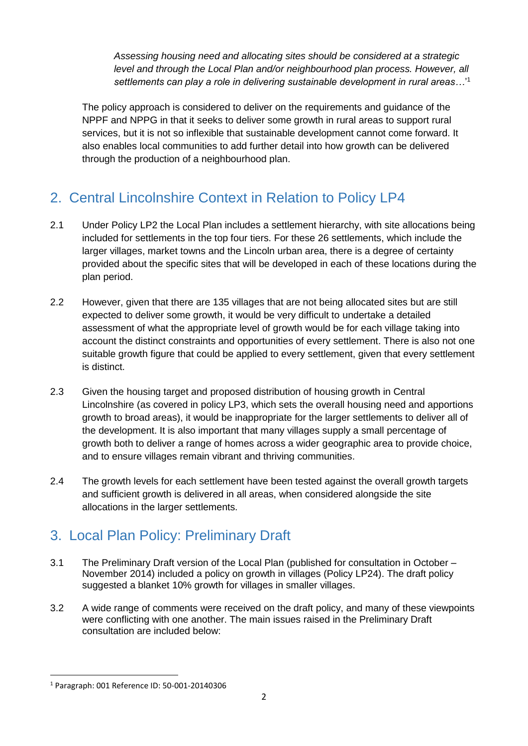*Assessing housing need and allocating sites should be considered at a strategic level and through the Local Plan and/or neighbourhood plan process. However, all settlements can play a role in delivering sustainable development in rural areas…*' 1

The policy approach is considered to deliver on the requirements and guidance of the NPPF and NPPG in that it seeks to deliver some growth in rural areas to support rural services, but it is not so inflexible that sustainable development cannot come forward. It also enables local communities to add further detail into how growth can be delivered through the production of a neighbourhood plan.

## <span id="page-2-0"></span>2. Central Lincolnshire Context in Relation to Policy LP4

- 2.1 Under Policy LP2 the Local Plan includes a settlement hierarchy, with site allocations being included for settlements in the top four tiers. For these 26 settlements, which include the larger villages, market towns and the Lincoln urban area, there is a degree of certainty provided about the specific sites that will be developed in each of these locations during the plan period.
- 2.2 However, given that there are 135 villages that are not being allocated sites but are still expected to deliver some growth, it would be very difficult to undertake a detailed assessment of what the appropriate level of growth would be for each village taking into account the distinct constraints and opportunities of every settlement. There is also not one suitable growth figure that could be applied to every settlement, given that every settlement is distinct.
- 2.3 Given the housing target and proposed distribution of housing growth in Central Lincolnshire (as covered in policy LP3, which sets the overall housing need and apportions growth to broad areas), it would be inappropriate for the larger settlements to deliver all of the development. It is also important that many villages supply a small percentage of growth both to deliver a range of homes across a wider geographic area to provide choice, and to ensure villages remain vibrant and thriving communities.
- 2.4 The growth levels for each settlement have been tested against the overall growth targets and sufficient growth is delivered in all areas, when considered alongside the site allocations in the larger settlements.

## <span id="page-2-1"></span>3. Local Plan Policy: Preliminary Draft

- 3.1 The Preliminary Draft version of the Local Plan (published for consultation in October November 2014) included a policy on growth in villages (Policy LP24). The draft policy suggested a blanket 10% growth for villages in smaller villages.
- 3.2 A wide range of comments were received on the draft policy, and many of these viewpoints were conflicting with one another. The main issues raised in the Preliminary Draft consultation are included below:

**<sup>.</sup>** <sup>1</sup> Paragraph: 001 Reference ID: 50-001-20140306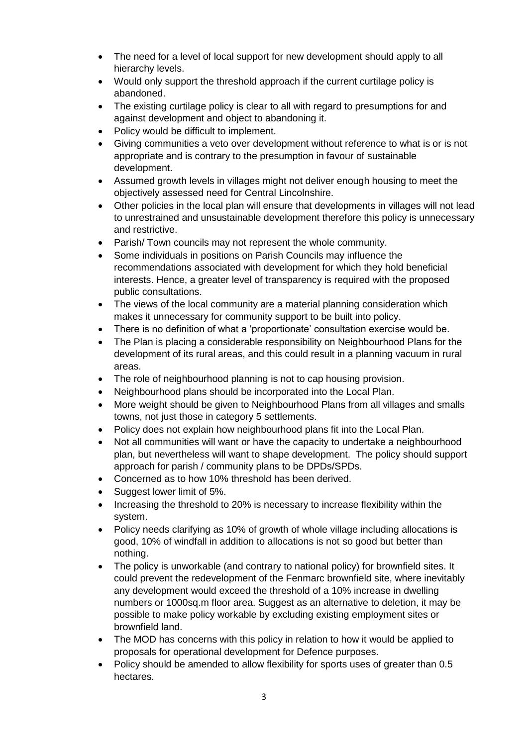- The need for a level of local support for new development should apply to all hierarchy levels.
- Would only support the threshold approach if the current curtilage policy is abandoned.
- The existing curtilage policy is clear to all with regard to presumptions for and against development and object to abandoning it.
- Policy would be difficult to implement.
- Giving communities a veto over development without reference to what is or is not appropriate and is contrary to the presumption in favour of sustainable development.
- Assumed growth levels in villages might not deliver enough housing to meet the objectively assessed need for Central Lincolnshire.
- Other policies in the local plan will ensure that developments in villages will not lead to unrestrained and unsustainable development therefore this policy is unnecessary and restrictive.
- Parish/ Town councils may not represent the whole community.
- Some individuals in positions on Parish Councils may influence the recommendations associated with development for which they hold beneficial interests. Hence, a greater level of transparency is required with the proposed public consultations.
- The views of the local community are a material planning consideration which makes it unnecessary for community support to be built into policy.
- There is no definition of what a 'proportionate' consultation exercise would be.
- The Plan is placing a considerable responsibility on Neighbourhood Plans for the development of its rural areas, and this could result in a planning vacuum in rural areas.
- The role of neighbourhood planning is not to cap housing provision.
- Neighbourhood plans should be incorporated into the Local Plan.
- More weight should be given to Neighbourhood Plans from all villages and smalls towns, not just those in category 5 settlements.
- Policy does not explain how neighbourhood plans fit into the Local Plan.
- Not all communities will want or have the capacity to undertake a neighbourhood plan, but nevertheless will want to shape development. The policy should support approach for parish / community plans to be DPDs/SPDs.
- Concerned as to how 10% threshold has been derived.
- Suggest lower limit of 5%.
- Increasing the threshold to 20% is necessary to increase flexibility within the system.
- Policy needs clarifying as 10% of growth of whole village including allocations is good, 10% of windfall in addition to allocations is not so good but better than nothing.
- The policy is unworkable (and contrary to national policy) for brownfield sites. It could prevent the redevelopment of the Fenmarc brownfield site, where inevitably any development would exceed the threshold of a 10% increase in dwelling numbers or 1000sq.m floor area. Suggest as an alternative to deletion, it may be possible to make policy workable by excluding existing employment sites or brownfield land.
- The MOD has concerns with this policy in relation to how it would be applied to proposals for operational development for Defence purposes.
- Policy should be amended to allow flexibility for sports uses of greater than 0.5 hectares.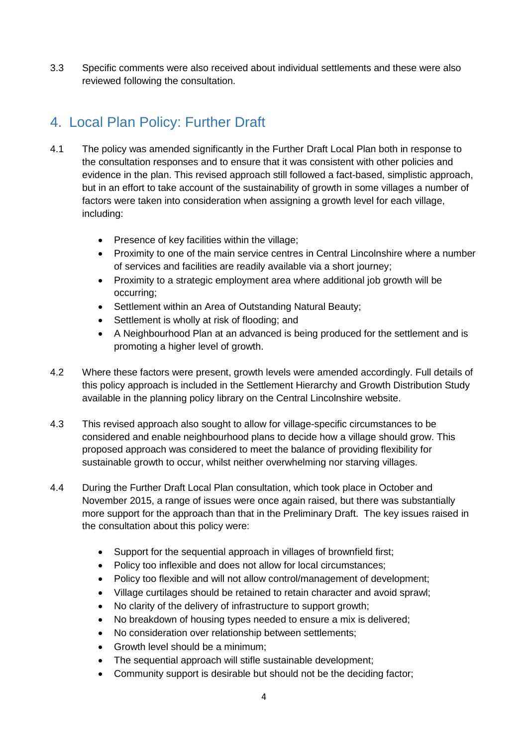3.3 Specific comments were also received about individual settlements and these were also reviewed following the consultation.

## <span id="page-4-0"></span>4. Local Plan Policy: Further Draft

- 4.1 The policy was amended significantly in the Further Draft Local Plan both in response to the consultation responses and to ensure that it was consistent with other policies and evidence in the plan. This revised approach still followed a fact-based, simplistic approach, but in an effort to take account of the sustainability of growth in some villages a number of factors were taken into consideration when assigning a growth level for each village, including:
	- Presence of key facilities within the village;
	- Proximity to one of the main service centres in Central Lincolnshire where a number of services and facilities are readily available via a short journey;
	- Proximity to a strategic employment area where additional job growth will be occurring;
	- Settlement within an Area of Outstanding Natural Beauty;
	- Settlement is wholly at risk of flooding; and
	- A Neighbourhood Plan at an advanced is being produced for the settlement and is promoting a higher level of growth.
- 4.2 Where these factors were present, growth levels were amended accordingly. Full details of this policy approach is included in the Settlement Hierarchy and Growth Distribution Study available in the planning policy library on the Central Lincolnshire website.
- 4.3 This revised approach also sought to allow for village-specific circumstances to be considered and enable neighbourhood plans to decide how a village should grow. This proposed approach was considered to meet the balance of providing flexibility for sustainable growth to occur, whilst neither overwhelming nor starving villages.
- 4.4 During the Further Draft Local Plan consultation, which took place in October and November 2015, a range of issues were once again raised, but there was substantially more support for the approach than that in the Preliminary Draft. The key issues raised in the consultation about this policy were:
	- Support for the sequential approach in villages of brownfield first;
	- Policy too inflexible and does not allow for local circumstances;
	- Policy too flexible and will not allow control/management of development;
	- Village curtilages should be retained to retain character and avoid sprawl;
	- No clarity of the delivery of infrastructure to support growth;
	- No breakdown of housing types needed to ensure a mix is delivered;
	- No consideration over relationship between settlements:
	- Growth level should be a minimum;
	- The sequential approach will stifle sustainable development;
	- Community support is desirable but should not be the deciding factor;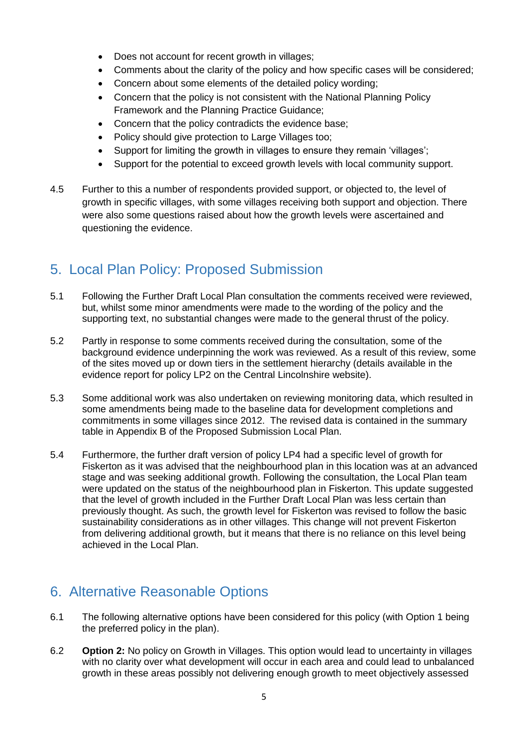- Does not account for recent growth in villages;
- Comments about the clarity of the policy and how specific cases will be considered;
- Concern about some elements of the detailed policy wording;
- Concern that the policy is not consistent with the National Planning Policy Framework and the Planning Practice Guidance;
- Concern that the policy contradicts the evidence base;
- Policy should give protection to Large Villages too;
- Support for limiting the growth in villages to ensure they remain 'villages';
- Support for the potential to exceed growth levels with local community support.
- 4.5 Further to this a number of respondents provided support, or objected to, the level of growth in specific villages, with some villages receiving both support and objection. There were also some questions raised about how the growth levels were ascertained and questioning the evidence.

### <span id="page-5-0"></span>5. Local Plan Policy: Proposed Submission

- 5.1 Following the Further Draft Local Plan consultation the comments received were reviewed, but, whilst some minor amendments were made to the wording of the policy and the supporting text, no substantial changes were made to the general thrust of the policy.
- 5.2 Partly in response to some comments received during the consultation, some of the background evidence underpinning the work was reviewed. As a result of this review, some of the sites moved up or down tiers in the settlement hierarchy (details available in the evidence report for policy LP2 on the Central Lincolnshire website).
- 5.3 Some additional work was also undertaken on reviewing monitoring data, which resulted in some amendments being made to the baseline data for development completions and commitments in some villages since 2012. The revised data is contained in the summary table in Appendix B of the Proposed Submission Local Plan.
- 5.4 Furthermore, the further draft version of policy LP4 had a specific level of growth for Fiskerton as it was advised that the neighbourhood plan in this location was at an advanced stage and was seeking additional growth. Following the consultation, the Local Plan team were updated on the status of the neighbourhood plan in Fiskerton. This update suggested that the level of growth included in the Further Draft Local Plan was less certain than previously thought. As such, the growth level for Fiskerton was revised to follow the basic sustainability considerations as in other villages. This change will not prevent Fiskerton from delivering additional growth, but it means that there is no reliance on this level being achieved in the Local Plan.

### <span id="page-5-1"></span>6. Alternative Reasonable Options

- 6.1 The following alternative options have been considered for this policy (with Option 1 being the preferred policy in the plan).
- 6.2 **Option 2:** No policy on Growth in Villages. This option would lead to uncertainty in villages with no clarity over what development will occur in each area and could lead to unbalanced growth in these areas possibly not delivering enough growth to meet objectively assessed